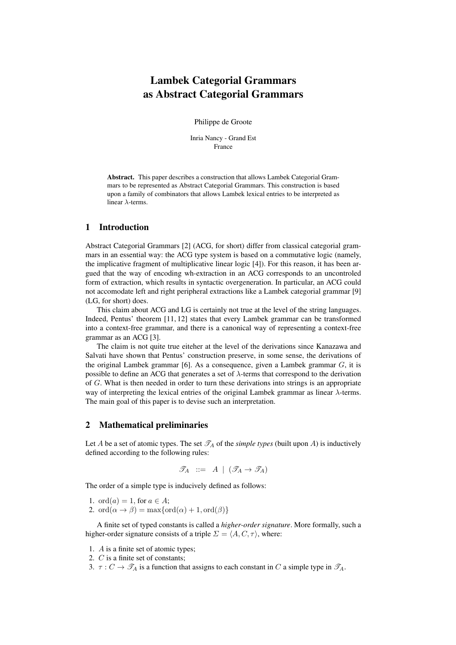# Lambek Categorial Grammars as Abstract Categorial Grammars

Philippe de Groote

Inria Nancy - Grand Est France

Abstract. This paper describes a construction that allows Lambek Categorial Grammars to be represented as Abstract Categorial Grammars. This construction is based upon a family of combinators that allows Lambek lexical entries to be interpreted as linear  $\lambda$ -terms.

#### 1 Introduction

Abstract Categorial Grammars [2] (ACG, for short) differ from classical categorial grammars in an essential way: the ACG type system is based on a commutative logic (namely, the implicative fragment of multiplicative linear logic [4]). For this reason, it has been argued that the way of encoding wh-extraction in an ACG corresponds to an uncontroled form of extraction, which results in syntactic overgeneration. In particular, an ACG could not accomodate left and right peripheral extractions like a Lambek categorial grammar [9] (LG, for short) does.

This claim about ACG and LG is certainly not true at the level of the string languages. Indeed, Pentus' theorem [11, 12] states that every Lambek grammar can be transformed into a context-free grammar, and there is a canonical way of representing a context-free grammar as an ACG [3].

The claim is not quite true eiteher at the level of the derivations since Kanazawa and Salvati have shown that Pentus' construction preserve, in some sense, the derivations of the original Lambek grammar [6]. As a consequence, given a Lambek grammar  $G$ , it is possible to define an ACG that generates a set of  $\lambda$ -terms that correspond to the derivation of G. What is then needed in order to turn these derivations into strings is an appropriate way of interpreting the lexical entries of the original Lambek grammar as linear  $\lambda$ -terms. The main goal of this paper is to devise such an interpretation.

## 2 Mathematical preliminaries

Let A be a set of atomic types. The set  $\mathcal{T}_A$  of the *simple types* (built upon A) is inductively defined according to the following rules:

$$
\mathscr{T}_A \ ::= \ A \ | \ (\mathscr{T}_A \to \mathscr{T}_A)
$$

The order of a simple type is inducively defined as follows:

- 1. ord $(a) = 1$ , for  $a \in A$ ;
- 2. ord $(\alpha \rightarrow \beta) = \max{\lbrace \text{ord}(\alpha) + 1, \text{ord}(\beta) \rbrace}$

A finite set of typed constants is called a *higher-order signature*. More formally, such a higher-order signature consists of a triple  $\Sigma = \langle A, C, \tau \rangle$ , where:

- 1. A is a finite set of atomic types;
- 2. C is a finite set of constants;
- 3.  $\tau : C \to \mathscr{T}_A$  is a function that assigns to each constant in C a simple type in  $\mathscr{T}_A$ .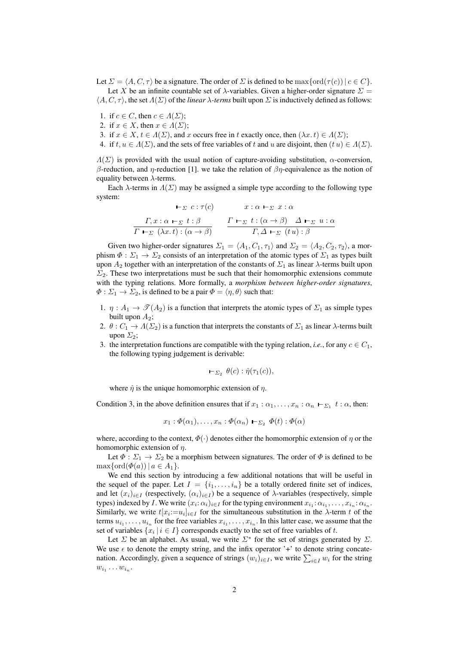Let  $\Sigma = \langle A, C, \tau \rangle$  be a signature. The order of  $\Sigma$  is defined to be max{ord( $\tau(c)$ )|  $c \in C$ }. Let X be an infinite countable set of  $\lambda$ -variables. Given a higher-order signature  $\Sigma$  =  $\langle A, C, \tau \rangle$ , the set  $\Lambda(\Sigma)$  of the *linear*  $\lambda$ *-terms* built upon  $\Sigma$  is inductively defined as follows:

- 1. if  $c \in C$ , then  $c \in \Lambda(\Sigma)$ ;
- 2. if  $x \in X$ , then  $x \in \Lambda(\Sigma)$ ;
- 3. if  $x \in X$ ,  $t \in \Lambda(\Sigma)$ , and x occurs free in t exactly once, then  $(\lambda x. t) \in \Lambda(\Sigma)$ ;

4. if  $t, u \in \Lambda(\Sigma)$ , and the sets of free variables of t and u are disjoint, then  $(t u) \in \Lambda(\Sigma)$ .

 $\Lambda(\Sigma)$  is provided with the usual notion of capture-avoiding substitution,  $\alpha$ -conversion, β-reduction, and η-reduction [1]. we take the relation of  $βη$ -equivalence as the notion of equality between  $\lambda$ -terms.

Each  $\lambda$ -terms in  $\Lambda(\Sigma)$  may be assigned a simple type according to the following type system:

$$
\vdash_{\Sigma} c : \tau(c) \qquad x : \alpha \vdash_{\Sigma} x : \alpha
$$
\n
$$
\frac{\Gamma, x : \alpha \vdash_{\Sigma} t : \beta}{\Gamma \vdash_{\Sigma} (\lambda x.t) : (\alpha \to \beta)} \qquad \frac{\Gamma \vdash_{\Sigma} t : (\alpha \to \beta) \quad \Delta \vdash_{\Sigma} u : \alpha}{\Gamma, \Delta \vdash_{\Sigma} (tu) : \beta}
$$

Given two higher-order signatures  $\Sigma_1 = \langle A_1, C_1, \tau_1 \rangle$  and  $\Sigma_2 = \langle A_2, C_2, \tau_2 \rangle$ , a morphism  $\Phi : \Sigma_1 \to \Sigma_2$  consists of an interpretation of the atomic types of  $\Sigma_1$  as types built upon  $A_2$  together with an interpretation of the constants of  $\Sigma_1$  as linear  $\lambda$ -terms built upon  $\Sigma_2$ . These two interpretations must be such that their homomorphic extensions commute with the typing relations. More formally, a *morphism between higher-order signatures*,  $\Phi$  :  $\Sigma_1 \rightarrow \Sigma_2$ , is defined to be a pair  $\Phi = \langle \eta, \theta \rangle$  such that:

- 1.  $\eta: A_1 \to \mathcal{I}(A_2)$  is a function that interprets the atomic types of  $\Sigma_1$  as simple types built upon  $A_2$ ;
- 2.  $\theta: C_1 \to \Lambda(\Sigma_2)$  is a function that interprets the constants of  $\Sigma_1$  as linear  $\lambda$ -terms built upon  $\Sigma_2$ :
- 3. the interpretation functions are compatible with the typing relation, *i.e.*, for any  $c \in C_1$ , the following typing judgement is derivable:

$$
\vdash_{\Sigma_2} \theta(c): \hat{\eta}(\tau_1(c)),
$$

where  $\hat{\eta}$  is the unique homomorphic extension of  $\eta$ .

Condition 3, in the above definition ensures that if  $x_1 : \alpha_1, \dots, x_n : \alpha_n \vdash_{\Sigma_1} t : \alpha$ , then:

$$
x_1 : \Phi(\alpha_1), \dots, x_n : \Phi(\alpha_n) \vdash_{\Sigma_2} \Phi(t) : \Phi(\alpha)
$$

where, according to the context,  $\Phi(\cdot)$  denotes either the homomorphic extension of  $\eta$  or the homomorphic extension of  $\eta$ .

Let  $\Phi : \Sigma_1 \to \Sigma_2$  be a morphism between signatures. The order of  $\Phi$  is defined to be  $\max\{\operatorname{ord}(\varPhi(a)) \, | \, a \in A_1\}.$ 

We end this section by introducing a few additional notations that will be useful in the sequel of the paper. Let  $I = \{i_1, \ldots, i_n\}$  be a totally ordered finite set of indices, and let  $(x_i)_{i \in I}$  (respectively,  $(\alpha_i)_{i \in I}$ ) be a sequence of  $\lambda$ -variables (respectively, simple types) indexed by *I*. We write  $(x_i: \alpha_i)_{i \in I}$  for the typing environment  $x_{i_1}: \alpha_{i_1}, \ldots, x_{i_n}: \alpha_{i_n}$ . Similarly, we write  $t[x_i := u_i]_{i \in I}$  for the simultaneous substitution in the  $\lambda$ -term t of the terms  $u_{i_1}, \ldots, u_{i_n}$  for the free variables  $x_{i_1}, \ldots, x_{i_n}$ . In this latter case, we assume that the set of variables  $\{x_i \mid i \in I\}$  corresponds exactly to the set of free variables of t.

Let  $\Sigma$  be an alphabet. As usual, we write  $\Sigma^*$  for the set of strings generated by  $\Sigma$ . We use  $\epsilon$  to denote the empty string, and the infix operator '+' to denote string concatenation. Accordingly, given a sequence of strings  $(w_i)_{i \in I}$ , we write  $\sum_{i \in I} w_i$  for the string  $w_{i_1}\ldots w_{i_n}$ .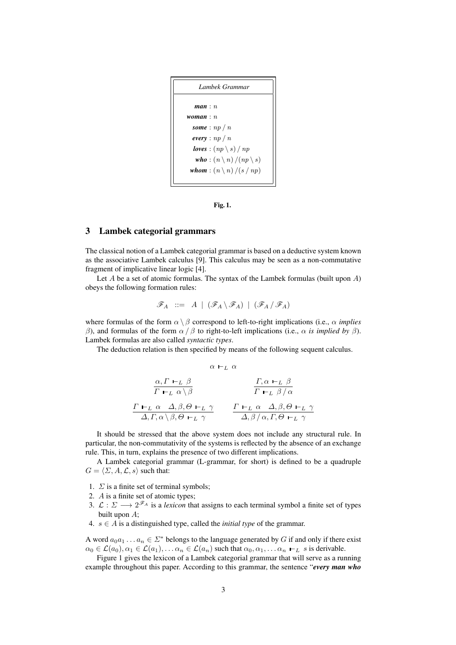```
Lambek Grammar
   man : n
woman : n
  some : np / n
  every : np / n
  loves : (np \setminus s) / npwho : (n \n\langle n \rangle / (np \n\langle s \rangle))whom : (n \nightharpoonup n) / (s / np)
```
Fig. 1.

## 3 Lambek categorial grammars

The classical notion of a Lambek categorial grammar is based on a deductive system known as the associative Lambek calculus [9]. This calculus may be seen as a non-commutative fragment of implicative linear logic [4].

Let  $A$  be a set of atomic formulas. The syntax of the Lambek formulas (built upon  $A$ ) obeys the following formation rules:

$$
\mathscr{F}_A \ ::= \ A \ | \ (\mathscr{F}_A \setminus \mathscr{F}_A) \ | \ (\mathscr{F}_A \, / \, \mathscr{F}_A)
$$

where formulas of the form  $\alpha \setminus \beta$  correspond to left-to-right implications (i.e.,  $\alpha$  *implies* β), and formulas of the form  $\alpha / \beta$  to right-to-left implications (i.e.,  $\alpha$  *is implied by* β). Lambek formulas are also called *syntactic types*.

The deduction relation is then specified by means of the following sequent calculus.

$$
\alpha \vdash_L \alpha
$$
\n
$$
\frac{\alpha, \Gamma \vdash_L \beta}{\Gamma \vdash_L \alpha \setminus \beta}
$$
\n
$$
\frac{\Gamma, \alpha \vdash_L \beta}{\Gamma \vdash_L \beta / \alpha}
$$
\n
$$
\frac{\Gamma \vdash_L \alpha \quad \Delta, \beta, \Theta \vdash_L \gamma}{\Delta, \Gamma, \alpha \setminus \beta, \Theta \vdash_L \gamma}
$$
\n
$$
\frac{\Gamma \vdash_L \alpha \quad \Delta, \beta, \Theta \vdash_L \gamma}{\Delta, \beta / \alpha, \Gamma, \Theta \vdash_L \gamma}
$$

It should be stressed that the above system does not include any structural rule. In particular, the non-commutativity of the systems is reflected by the absence of an exchange rule. This, in turn, explains the presence of two different implications.

A Lambek categorial grammar (L-grammar, for short) is defined to be a quadruple  $G = \langle \Sigma, A, \mathcal{L}, s \rangle$  such that:

- 1.  $\Sigma$  is a finite set of terminal symbols;
- 2. A is a finite set of atomic types;
- 3.  $\mathcal{L}: \Sigma \longrightarrow 2^{\mathscr{F}_A}$  is a *lexicon* that assigns to each terminal symbol a finite set of types built upon A;
- 4.  $s \in A$  is a distinguished type, called the *initial type* of the grammar.

A word  $a_0a_1 \ldots a_n \in \Sigma^*$  belongs to the language generated by G if and only if there exist  $\alpha_0 \in \mathcal{L}(\alpha_0), \alpha_1 \in \mathcal{L}(\alpha_1), \ldots \alpha_n \in \mathcal{L}(\alpha_n)$  such that  $\alpha_0, \alpha_1, \ldots \alpha_n \vdash_L s$  is derivable.

Figure 1 gives the lexicon of a Lambek categorial grammar that will serve as a running example throughout this paper. According to this grammar, the sentence "*every man who*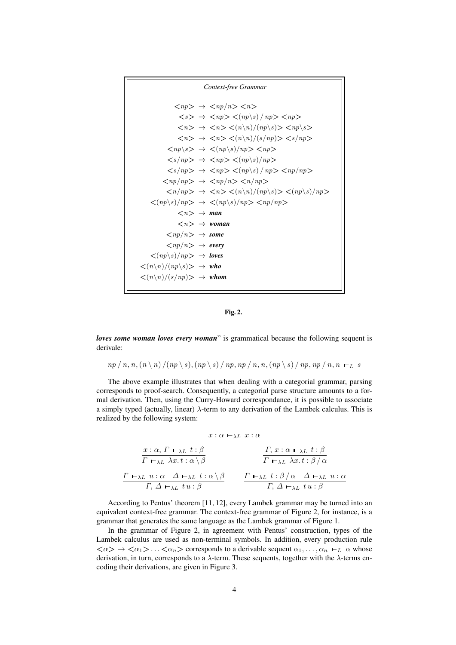*Context-free Grammar*  $\langle np \rangle \rightarrow \langle np/n \rangle \langle n \rangle$  $\langle s \rangle \rightarrow \langle np \rangle \langle (np \rangle s) / np \rangle \langle np \rangle$  $\langle n \rangle \rightarrow \langle n \rangle \langle (n \rangle n) / (np \rangle s) > \langle np \rangle s$  $\langle n \rangle \rightarrow \langle n \rangle \langle (n \nabla n)/(s/np) \rangle \langle s/np \rangle$  $\langle np \rangle$ s>  $\rightarrow$   $\langle (np \rangle s) / np$ >  $\langle np \rangle$  $\langle s / np \rangle \rightarrow \langle np \rangle \langle (np \rangle s) / np \rangle$  $\langle s / np \rangle \rightarrow \langle np \rangle \langle (np \rangle s) / np \rangle \langle np \rangle$  $\langle np/np \rangle \rightarrow \langle np/n \rangle \langle n/p \rangle$  $\langle n / np \rangle \rightarrow \langle n \rangle \langle (n \rangle n) / (np \rangle s) > \langle (np \rangle s) / np \rangle$  $\langle (np \sigr\rangle s)/np \rangle \rightarrow \langle (np \sigr\rangle s)/np \rangle \langle np \rangle$  $\langle n \rangle \rightarrow$  *man*  $\langle n \rangle \rightarrow$  *woman*  $\langle np/n \rangle \rightarrow$  *some*  $\langle np/n \rangle \rightarrow$  *every*  $\langle (np \sigr\rangle s)/np \rangle \rightarrow$  *loves*  $\langle (n \nabla n)/(np \nabla s) \rangle \rightarrow who$  $\langle \langle n \rangle n \rangle / (s / np)$   $\rightarrow$  *whom* 



*loves some woman loves every woman*" is grammatical because the following sequent is derivale:

 $np / n, n, (n \n\mid n) / (np \n\mid s), (np \n\mid s) / np, np / n, n, (np \n\mid s) / np, np / n, n \n\mid L \, s$ 

The above example illustrates that when dealing with a categorial grammar, parsing corresponds to proof-search. Consequently, a categorial parse structure amounts to a formal derivation. Then, using the Curry-Howard correspondance, it is possible to associate a simply typed (actually, linear) λ-term to any derivation of the Lambek calculus. This is realized by the following system:

$$
x:\alpha\,\vdash_{\lambda L}\,x:\alpha
$$

$$
\frac{x:\alpha, \Gamma \vdash_{\lambda L} t:\beta}{\Gamma \vdash_{\lambda L} \lambda x.t:\alpha \setminus \beta} \qquad \qquad \frac{\Gamma, x:\alpha \vdash_{\lambda L} t:\beta}{\Gamma \vdash_{\lambda L} \lambda x.t:\beta / \alpha}
$$
\n
$$
\frac{\Gamma \vdash_{\lambda L} u:\alpha \Delta \vdash_{\lambda L} t:\alpha \setminus \beta}{\Gamma, \Delta \vdash_{\lambda L} tu:\beta} \qquad \qquad \frac{\Gamma \vdash_{\lambda L} t:\beta / \alpha \Delta \vdash_{\lambda L} u:\alpha}{\Gamma, \Delta \vdash_{\lambda L} tu:\beta}
$$

According to Pentus' theorem [11, 12], every Lambek grammar may be turned into an equivalent context-free grammar. The context-free grammar of Figure 2, for instance, is a grammar that generates the same language as the Lambek grammar of Figure 1.

In the grammar of Figure 2, in agreement with Pentus' construction, types of the Lambek calculus are used as non-terminal symbols. In addition, every production rule  $\langle \alpha \rangle \to \langle \alpha_1 \rangle \dots \langle \alpha_n \rangle$  corresponds to a derivable sequent  $\alpha_1, \dots, \alpha_n \vdash_L \alpha$  whose derivation, in turn, corresponds to a  $\lambda$ -term. These sequents, together with the  $\lambda$ -terms encoding their derivations, are given in Figure 3.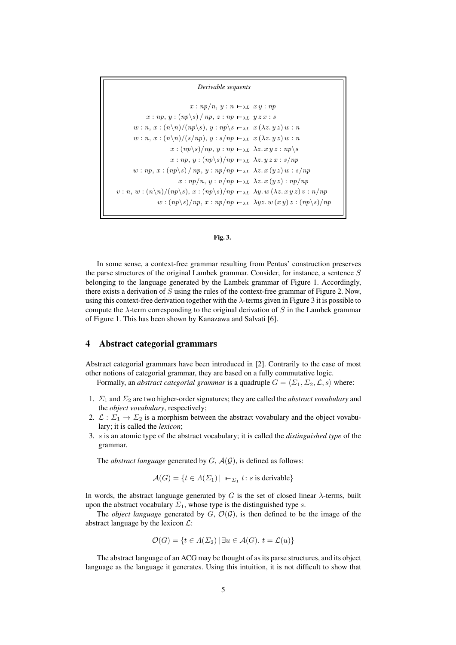| Derivable sequents                                                                                                                |
|-----------------------------------------------------------------------------------------------------------------------------------|
| $x: np/n, y: n \vdash_{\lambda L} x y: np$                                                                                        |
| $x: np, y: (np \ge k) / np, z: np \mapsto_{\lambda} L y z x : s$                                                                  |
| $w: n, x: (n \backslash n)/(np \backslash s), y: np \backslash s \mapsto_{\lambda L} x (\lambda z, y z) w: n$                     |
| $w: n, x: (n \backslash n)/(s(np), y: s(np \leftarrow_{\lambda L} x (\lambda z, y z) w: n$                                        |
| $x:(np\&s)/np, y: np \mapsto_{\lambda L} \lambda z. xy z: np\&s$                                                                  |
| $x: np, y: (np \s)/np \mapsto_{\lambda L} \lambda z. y z x : s/np$                                                                |
| $w: np, x: (np \ge k) / np, y: np(np \mapsto \perp \lambda z. x (yz) w : s(np$                                                    |
| $x: np/n, y: n(np \leftarrow_{\lambda L} \lambda z. x (yz): np(np)$                                                               |
| $v: n, w: (n \backslash n)/(np \backslash s), x: (np \backslash s)/np \mapsto_{\lambda L} \lambda y. w (\lambda z. xy z) v: n/np$ |
| $w:(np\&s)/np, x: np(np \mapsto_{\lambda L} \lambda yz. w(xy)z:(np\&s)/np$                                                        |



In some sense, a context-free grammar resulting from Pentus' construction preserves the parse structures of the original Lambek grammar. Consider, for instance, a sentence S belonging to the language generated by the Lambek grammar of Figure 1. Accordingly, there exists a derivation of  $S$  using the rules of the context-free grammar of Figure 2. Now, using this context-free derivation together with the  $\lambda$ -terms given in Figure 3 it is possible to compute the  $\lambda$ -term corresponding to the original derivation of S in the Lambek grammar of Figure 1. This has been shown by Kanazawa and Salvati [6].

#### 4 Abstract categorial grammars

Abstract categorial grammars have been introduced in [2]. Contrarily to the case of most other notions of categorial grammar, they are based on a fully commutative logic.

Formally, an *abstract categorial grammar* is a quadruple  $G = \langle \Sigma_1, \Sigma_2, \mathcal{L}, s \rangle$  where:

- 1.  $\Sigma_1$  and  $\Sigma_2$  are two higher-order signatures; they are called the *abstract vovabulary* and the *object vovabulary*, respectively;
- 2.  $\mathcal{L}: \Sigma_1 \to \Sigma_2$  is a morphism between the abstract vovabulary and the object vovabulary; it is called the *lexicon*;
- 3. s is an atomic type of the abstract vocabulary; it is called the *distinguished type* of the grammar.

The *abstract language* generated by  $G$ ,  $\mathcal{A}(\mathcal{G})$ , is defined as follows:

$$
\mathcal{A}(G) = \{ t \in \Lambda(\Sigma_1) \mid \mathbf{I}_{\Sigma_1} t : s \text{ is derivable} \}
$$

In words, the abstract language generated by G is the set of closed linear  $\lambda$ -terms, built upon the abstract vocabulary  $\Sigma_1$ , whose type is the distinguished type s.

The *object language* generated by  $G, \mathcal{O}(\mathcal{G})$ , is then defined to be the image of the abstract language by the lexicon  $\mathcal{L}$ :

$$
\mathcal{O}(G) = \{ t \in \Lambda(\Sigma_2) \, | \, \exists u \in \mathcal{A}(G). \ t = \mathcal{L}(u) \}
$$

The abstract language of an ACG may be thought of as its parse structures, and its object language as the language it generates. Using this intuition, it is not difficult to show that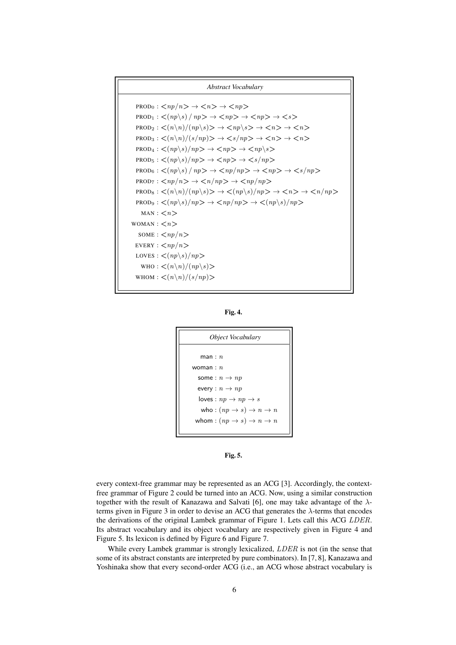

Fig. 4.





every context-free grammar may be represented as an ACG [3]. Accordingly, the contextfree grammar of Figure 2 could be turned into an ACG. Now, using a similar construction together with the result of Kanazawa and Salvati [6], one may take advantage of the  $\lambda$ terms given in Figure 3 in order to devise an ACG that generates the  $\lambda$ -terms that encodes the derivations of the original Lambek grammar of Figure 1. Lets call this ACG LDER. Its abstract vocabulary and its object vocabulary are respectively given in Figure 4 and Figure 5. Its lexicon is defined by Figure 6 and Figure 7.

While every Lambek grammar is strongly lexicalized, *LDER* is not (in the sense that some of its abstract constants are interpreted by pure combinators). In [7, 8], Kanazawa and Yoshinaka show that every second-order ACG (i.e., an ACG whose abstract vocabulary is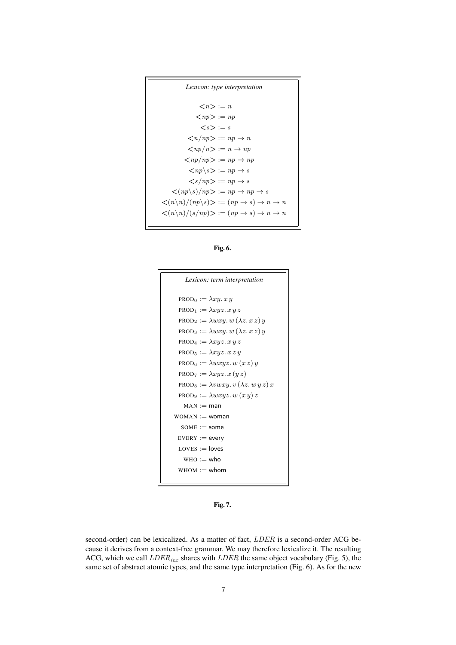

Fig. 6.



Fig. 7.

second-order) can be lexicalized. As a matter of fact,  $LDER$  is a second-order ACG because it derives from a context-free grammar. We may therefore lexicalize it. The resulting ACG, which we call  $LDER_{lex}$  shares with  $LDER$  the same object vocabulary (Fig. 5), the same set of abstract atomic types, and the same type interpretation (Fig. 6). As for the new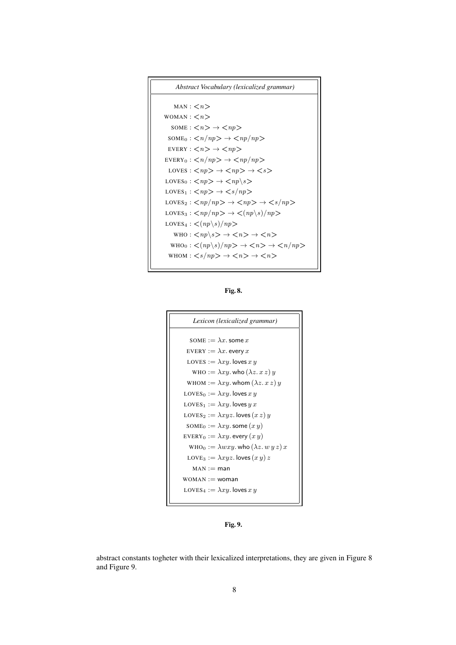```
Abstract Vocabulary (lexicalized grammar)
```

```
MAN: <\!\!n\!\!>WOMAN : \langle n \rangleSOME: \langle n \rangle \rightarrow \langle np \rangle\text{SOME}_0: \langle n / np \rangle \rightarrow \langle np / np \rangleEVERY : \langle n \rangle \rightarrow \langle np \rangleEVERY_0: \langle n/np \rangle \rightarrow \langle np/np \rangleLOVES : \langle np \rangle \rightarrow \langle np \rangle \rightarrow \langle s \rangleLOVES<sub>0</sub> : \langle np \rangle \rightarrow \langle np \rangles
LOVES<sub>1</sub>: \langle np \rangle \rightarrow \langle s/np \rangle\text{LOVES}_2 : \langle np/np \rangle \rightarrow \langle np \rangle \rightarrow \langle s/np \rangleLOVES<sub>3</sub>: \langle np/np \rangle \rightarrow \langle (np \backslash s)/np \rangleLOVES<sub>4</sub> : \langle (np \rangle s) / np \rangleWHO : \langle np \rangles \rightarrow \langle n \rangle \rightarrow \langle n \rangle\text{who}_0: \langle (np \backslash s) / np \rangle \rightarrow \langle n \rangle \rightarrow \langle n / np \rangleWHOM : \langle s / np \rangle \rightarrow \langle n \rangle \rightarrow \langle n \rangle
```
Fig. 8.



Fig. 9.

abstract constants togheter with their lexicalized interpretations, they are given in Figure 8 and Figure 9.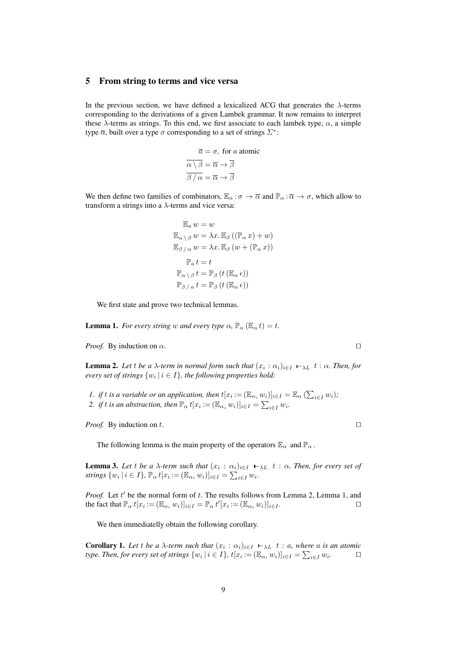#### 5 From string to terms and vice versa

In the previous section, we have defined a lexicalized ACG that generates the  $\lambda$ -terms corresponding to the derivations of a given Lambek grammar. It now remains to interpret these  $\lambda$ -terms as strings. To this end, we first associate to each lambek type,  $\alpha$ , a simple type  $\overline{\alpha}$ , built over a type  $\sigma$  corresponding to a set of strings  $\mathcal{L}^*$ :

$$
\overline{a} = \sigma, \text{ for } a \text{ atomic}
$$

$$
\overline{\alpha \setminus \beta} = \overline{\alpha} \to \overline{\beta}
$$

$$
\overline{\beta / \alpha} = \overline{\alpha} \to \overline{\beta}
$$

We then define two families of combinators,  $\mathbb{E}_{\alpha} : \sigma \to \overline{\alpha}$  and  $\mathbb{P}_{\alpha} : \overline{\alpha} \to \sigma$ , which allow to transform a strings into a  $\lambda$ -terms and vice versa:

$$
\mathbb{E}_{a} w = w
$$
  
\n
$$
\mathbb{E}_{\alpha \setminus \beta} w = \lambda x. \mathbb{E}_{\beta} ((\mathbb{P}_{\alpha} x) + w)
$$
  
\n
$$
\mathbb{E}_{\beta / \alpha} w = \lambda x. \mathbb{E}_{\beta} (w + (\mathbb{P}_{\alpha} x))
$$
  
\n
$$
\mathbb{P}_{a} t = t
$$
  
\n
$$
\mathbb{P}_{\alpha \setminus \beta} t = \mathbb{P}_{\beta} (t (\mathbb{E}_{\alpha} \epsilon))
$$
  
\n
$$
\mathbb{P}_{\beta / \alpha} t = \mathbb{P}_{\beta} (t (\mathbb{E}_{\alpha} \epsilon))
$$

We first state and prove two technical lemmas.

**Lemma 1.** *For every string* w *and every type*  $\alpha$ ,  $\mathbb{P}_{\alpha}(\mathbb{E}_{\alpha}t) = t$ .

*Proof.* By induction on  $\alpha$ .

**Lemma 2.** Let t be a  $\lambda$ -term in normal form such that  $(x_i : \alpha_i)_{i \in I} \mapsto_L t : \alpha$ . Then, for *every set of strings*  $\{w_i \mid i \in I\}$ , the following properties hold:

*1. if t is a variable or an application, then*  $t[x_i := (\mathbb{E}_{\alpha_i} w_i)]_{i \in I} = \mathbb{E}_{\alpha} (\sum_{i \in I} w_i)$ ; 2. if t is an abstraction, then  $\mathbb{P}_{\alpha}$   $t[x_i := (\mathbb{E}_{\alpha_i} w_i)]_{i \in I} = \sum_{i \in I} w_i$ .

*Proof.* By induction on t.  $\Box$ 

The following lemma is the main property of the operators  $\mathbb{E}_{\alpha}$  and  $\mathbb{P}_{\alpha}$ .

**Lemma 3.** Let t be a  $\lambda$ -term such that  $(x_i : \alpha_i)_{i \in I} \vdash_{\lambda} L$  t :  $\alpha$ . Then, for every set of *strings*  $\{w_i \mid i \in I\}$ ,  $\mathbb{P}_{\alpha} t[x_i := (\mathbb{E}_{\alpha_i} w_i)]_{i \in I} = \sum_{i \in I} w_i$ .

*Proof.* Let  $t'$  be the normal form of  $t$ . The results follows from Lemma 2, Lemma 1, and the fact that  $\mathbb{P}_{\alpha} t[x_i := (\mathbb{E}_{\alpha_i} w_i)]_{i \in I} = \mathbb{P}_{\alpha} t'[x_i := (\mathbb{E}_{\alpha_i} w_i)]_{i \in I}$ .

We then immediatelly obtain the following corollary.

**Corollary 1.** Let t be a  $\lambda$ -term such that  $(x_i : \alpha_i)_{i \in I} \vdash_{\lambda} L$  t : a, where a is an atomic *type. Then, for every set of strings*  $\{w_i \mid i \in I\}$ ,  $t[x_i := (\mathbb{E}_{\alpha_i} w_i)]_{i \in I} = \sum_{i \in I} w_i$  $\Box$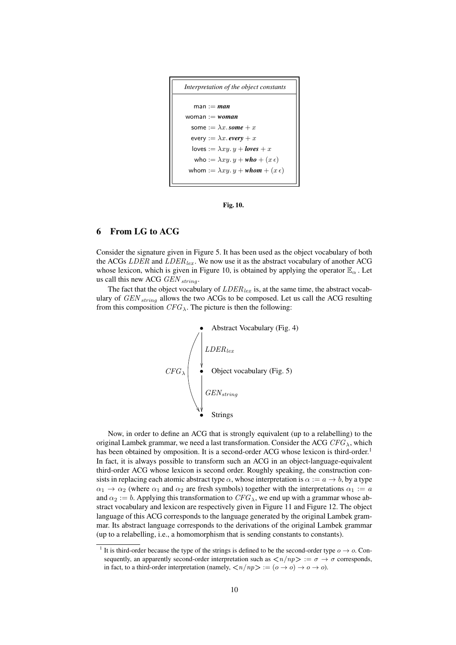

Fig. 10.

# 6 From LG to ACG

Consider the signature given in Figure 5. It has been used as the object vocabulary of both the ACGs  $LDER$  and  $LDER$ <sub>lex</sub>. We now use it as the abstract vocabulary of another ACG whose lexicon, which is given in Figure 10, is obtained by applying the operator  $\mathbb{E}_{\alpha}$ . Let us call this new ACG  $GEN_{string}$ .

The fact that the object vocabulary of  $LDER_{lex}$  is, at the same time, the abstract vocabulary of  $GEN_{string}$  allows the two ACGs to be composed. Let us call the ACG resulting from this composition  $CFG_{\lambda}$ . The picture is then the following:



Now, in order to define an ACG that is strongly equivalent (up to a relabelling) to the original Lambek grammar, we need a last transformation. Consider the ACG  $CFG_{\lambda}$ , which has been obtained by omposition. It is a second-order ACG whose lexicon is third-order.<sup>1</sup> In fact, it is always possible to transform such an ACG in an object-language-equivalent third-order ACG whose lexicon is second order. Roughly speaking, the construction consists in replacing each atomic abstract type  $\alpha$ , whose interpretation is  $\alpha := a \rightarrow b$ , by a type  $\alpha_1 \to \alpha_2$  (where  $\alpha_1$  and  $\alpha_2$  are fresh symbols) together with the interpretations  $\alpha_1 := a$ and  $\alpha_2 := b$ . Applying this transformation to  $CFG_\lambda$ , we end up with a grammar whose abstract vocabulary and lexicon are respectively given in Figure 11 and Figure 12. The object language of this ACG corresponds to the language generated by the original Lambek grammar. Its abstract language corresponds to the derivations of the original Lambek grammar (up to a relabelling, i.e., a homomorphism that is sending constants to constants).

<sup>&</sup>lt;sup>1</sup> It is third-order because the type of the strings is defined to be the second-order type  $o \rightarrow o$ . Consequently, an apparently second-order interpretation such as  $\langle n/np \rangle := \sigma \to \sigma$  corresponds, in fact, to a third-order interpretation (namely,  $\langle n / np \rangle := (o \to o) \to o \to o$ ).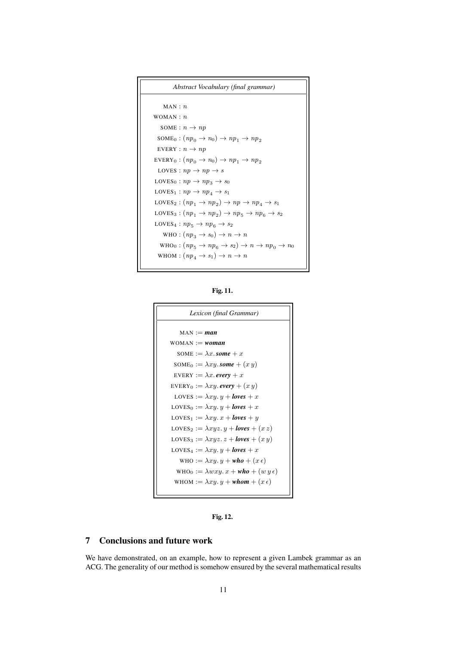```
Abstract Vocabulary (final grammar)
     MAN: nWOMAN : nSOME : n \rightarrow npSOME<sub>0</sub>: (np_0 \rightarrow n_0) \rightarrow np_1 \rightarrow np_2EVERY : n \rightarrow npEVERY_0: (np_0 \rightarrow n_0) \rightarrow np_1 \rightarrow np_2LOVES : np \rightarrow np \rightarrow sLOVES<sub>0</sub> : np \rightarrow np_3 \rightarrow s_0LOVES<sub>1</sub>: np \rightarrow np_4 \rightarrow s_1LOVES<sub>2</sub>: (np_1 \rightarrow np_2) \rightarrow np \rightarrow np_4 \rightarrow s_1LOVES<sub>3</sub>: (np_1 \rightarrow np_2) \rightarrow np_5 \rightarrow np_6 \rightarrow s_2LOVES<sub>4</sub> : np_5 \rightarrow np_6 \rightarrow s_2WHO : (np_3 \to s_0) \to n \to nWHO<sub>0</sub>: (np_5 \rightarrow np_6 \rightarrow s_2) \rightarrow n \rightarrow np_0 \rightarrow n_0WHOM : (np_4 \rightarrow s_1) \rightarrow n \rightarrow n
```
Fig. 11.



Fig. 12.

# 7 Conclusions and future work

We have demonstrated, on an example, how to represent a given Lambek grammar as an ACG. The generality of our method is somehow ensured by the several mathematical results